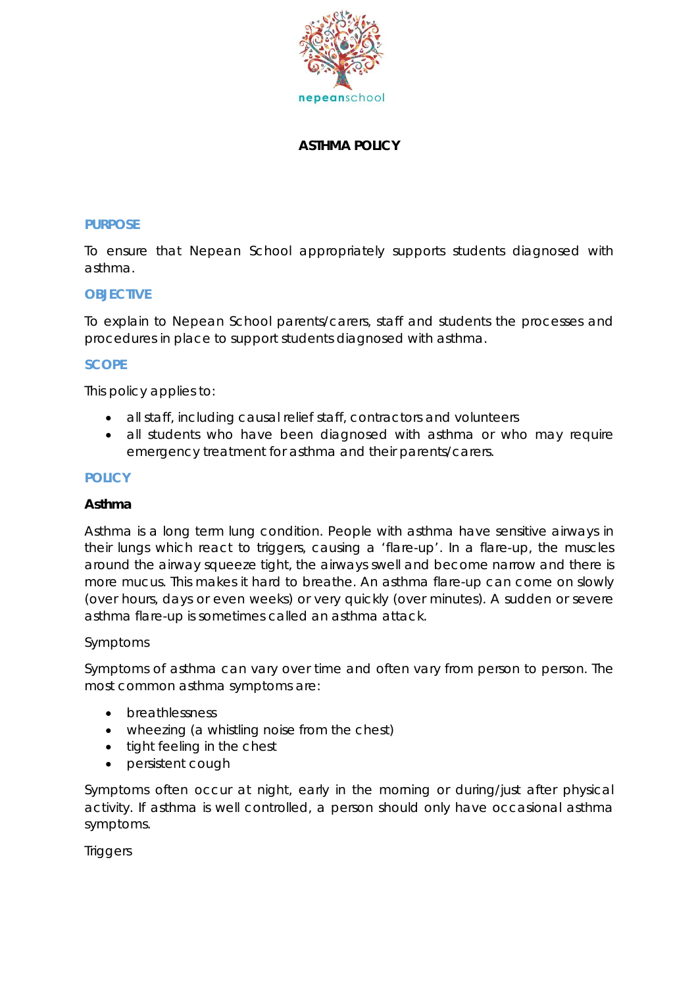

## **ASTHMA POLICY**

#### **PURPOSE**

To ensure that Nepean School appropriately supports students diagnosed with asthma.

### **OBJECTIVE**

To explain to Nepean School parents/carers, staff and students the processes and procedures in place to support students diagnosed with asthma.

### **SCOPE**

This policy applies to:

- all staff, including causal relief staff, contractors and volunteers
- all students who have been diagnosed with asthma or who may require emergency treatment for asthma and their parents/carers.

#### **POLICY**

### **Asthma**

Asthma is a long term lung condition. People with asthma have sensitive airways in their lungs which react to triggers, causing a 'flare-up'. In a flare-up, the muscles around the airway squeeze tight, the airways swell and become narrow and there is more mucus. This makes it hard to breathe. An asthma flare-up can come on slowly (over hours, days or even weeks) or very quickly (over minutes). A sudden or severe asthma flare-up is sometimes called an asthma attack.

### *Symptoms*

Symptoms of asthma can vary over time and often vary from person to person. The most common asthma symptoms are:

- breathlessness
- wheezing (a whistling noise from the chest)
- tight feeling in the chest
- persistent cough

Symptoms often occur at night, early in the morning or during/just after physical activity. If asthma is well controlled, a person should only have occasional asthma symptoms.

*Triggers*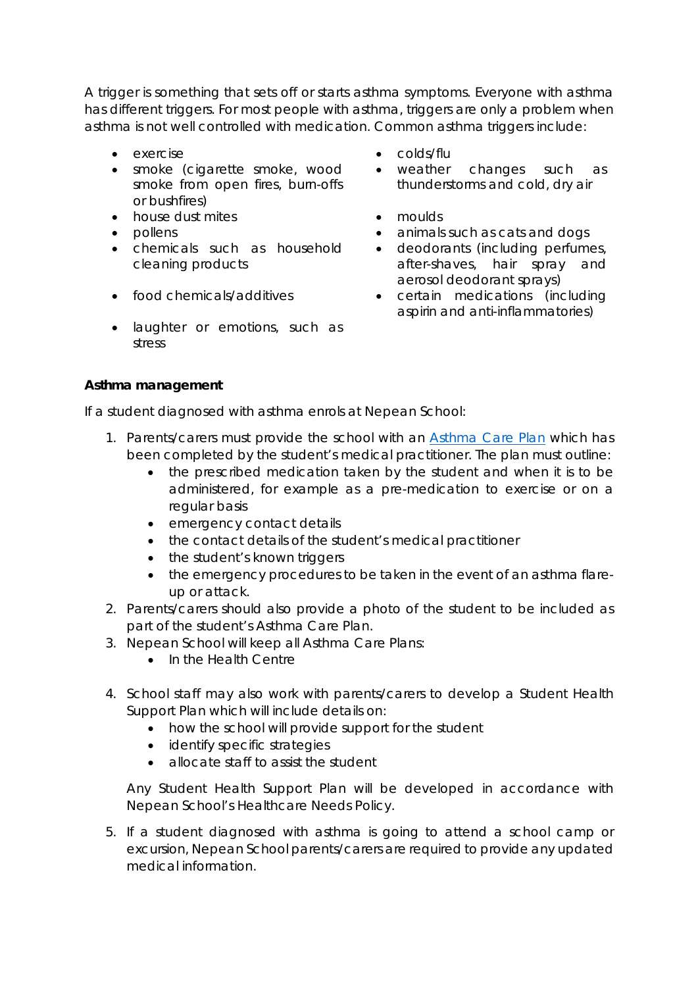A trigger is something that sets off or starts asthma symptoms. Everyone with asthma has different triggers. For most people with asthma, triggers are only a problem when asthma is not well controlled with medication. Common asthma triggers include:

- 
- smoke (cigarette smoke, wood smoke from open fires, burn-offs or bushfires)
- house dust mites moulds
- 
- chemicals such as household cleaning products
- 
- laughter or emotions, such as stress
- exercise colds/flu
	- weather changes such as thunderstorms and cold, dry air
	-
- pollens animals such as cats and dogs **animals such as cats and dogs** 
	- deodorants (including perfumes, after-shaves, hair spray and aerosol deodorant sprays)
- food chemicals/additives certain medications (including aspirin and anti-inflammatories)

## **Asthma management**

If a student diagnosed with asthma enrols at Nepean School:

- 1. Parents/carers must provide the school with an **Asthma Care Plan which has** been completed by the student's medical practitioner. The plan must outline:
	- the prescribed medication taken by the student and when it is to be administered, for example as a pre-medication to exercise or on a regular basis
	- emergency contact details
	- the contact details of the student's medical practitioner
	- the student's known triggers
	- the emergency procedures to be taken in the event of an asthma flareup or attack.
- 2. Parents/carers should also provide a photo of the student to be included as part of the student's Asthma Care Plan.
- 3. Nepean School will keep all Asthma Care Plans:
	- In the Health Centre
- 4. School staff may also work with parents/carers to develop a Student Health Support Plan which will include details on:
	- how the school will provide support for the student
	- identify specific strategies
	- allocate staff to assist the student

Any Student Health Support Plan will be developed in accordance with Nepean School's Healthcare Needs Policy.

5. If a student diagnosed with asthma is going to attend a school camp or excursion, Nepean School parents/carers are required to provide any updated medical information.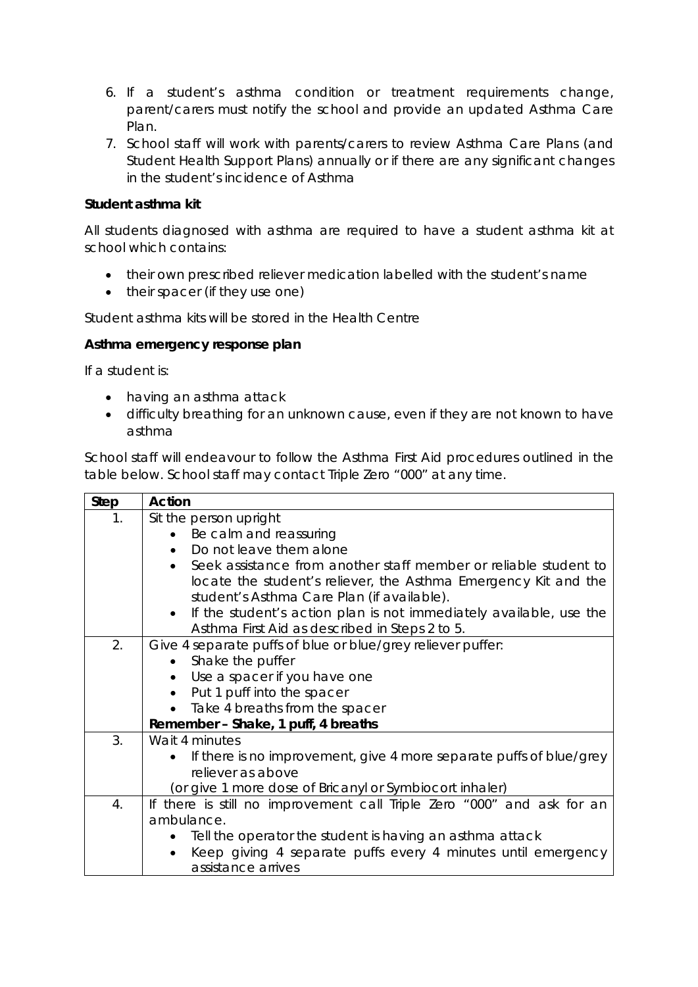- 6. If a student's asthma condition or treatment requirements change, parent/carers must notify the school and provide an updated Asthma Care Plan.
- 7. School staff will work with parents/carers to review Asthma Care Plans (and Student Health Support Plans) annually or if there are any significant changes in the student's incidence of Asthma

# **Student asthma kit**

All students diagnosed with asthma are required to have a student asthma kit at school which contains:

- their own prescribed reliever medication labelled with the student's name
- their spacer (if they use one)

Student asthma kits will be stored in the Health Centre

## **Asthma emergency response plan**

If a student is:

- having an asthma attack
- difficulty breathing for an unknown cause, even if they are not known to have asthma

School staff will endeavour to follow the Asthma First Aid procedures outlined in the table below. School staff may contact Triple Zero "000" at any time.

| <b>Step</b> | <b>Action</b>                                                                    |  |  |  |  |  |  |
|-------------|----------------------------------------------------------------------------------|--|--|--|--|--|--|
| 1.          | Sit the person upright                                                           |  |  |  |  |  |  |
|             | Be calm and reassuring                                                           |  |  |  |  |  |  |
|             | Do not leave them alone                                                          |  |  |  |  |  |  |
|             | Seek assistance from another staff member or reliable student to<br>$\bullet$    |  |  |  |  |  |  |
|             | locate the student's reliever, the Asthma Emergency Kit and the                  |  |  |  |  |  |  |
|             | student's Asthma Care Plan (if available).                                       |  |  |  |  |  |  |
|             | If the student's action plan is not immediately available, use the<br>$\bullet$  |  |  |  |  |  |  |
|             | Asthma First Aid as described in Steps 2 to 5.                                   |  |  |  |  |  |  |
| 2.          | Give 4 separate puffs of blue or blue/grey reliever puffer:                      |  |  |  |  |  |  |
|             | Shake the puffer<br>$\bullet$                                                    |  |  |  |  |  |  |
|             | Use a spacer if you have one                                                     |  |  |  |  |  |  |
|             | Put 1 puff into the spacer<br>$\bullet$                                          |  |  |  |  |  |  |
|             | Take 4 breaths from the spacer                                                   |  |  |  |  |  |  |
|             | Remember - Shake, 1 puff, 4 breaths                                              |  |  |  |  |  |  |
| 3.          | Wait 4 minutes                                                                   |  |  |  |  |  |  |
|             | If there is no improvement, give 4 more separate puffs of blue/grey<br>$\bullet$ |  |  |  |  |  |  |
|             | reliever as above                                                                |  |  |  |  |  |  |
|             | (or give 1 more dose of Bricanyl or Symbiocort inhaler)                          |  |  |  |  |  |  |
| 4.          | If there is still no improvement call Triple Zero "000" and ask for an           |  |  |  |  |  |  |
|             | ambulance.                                                                       |  |  |  |  |  |  |
|             | Tell the operator the student is having an asthma attack                         |  |  |  |  |  |  |
|             | Keep giving 4 separate puffs every 4 minutes until emergency<br>$\bullet$        |  |  |  |  |  |  |
|             | assistance arrives                                                               |  |  |  |  |  |  |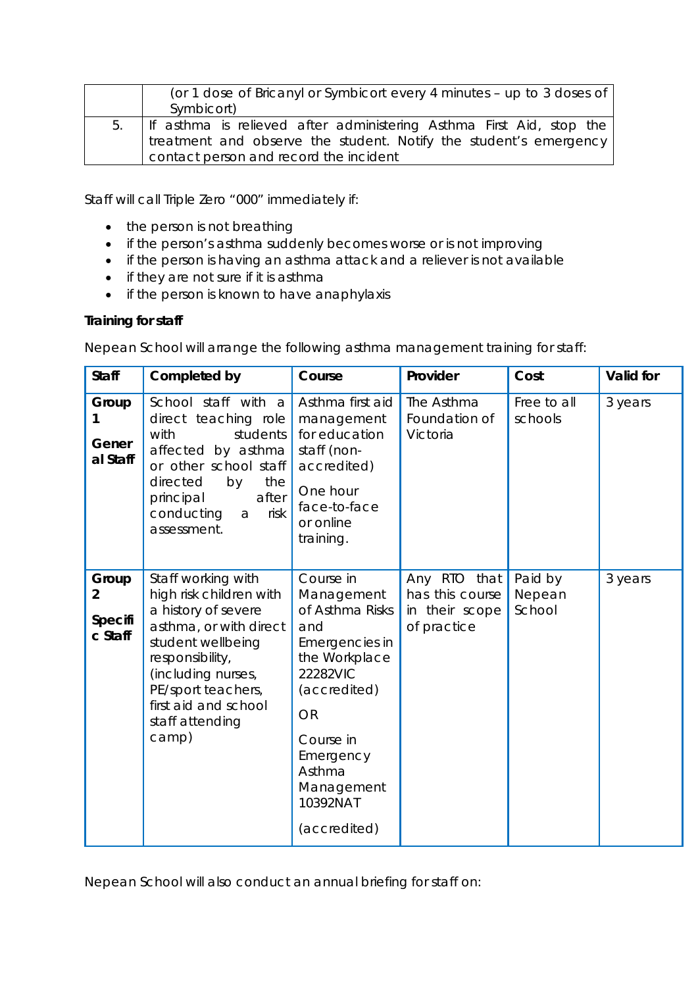|    | (or 1 dose of Bricanyl or Symbicort every 4 minutes – up to 3 doses of |  |  |  |  |  |  |
|----|------------------------------------------------------------------------|--|--|--|--|--|--|
|    | Symbicort)                                                             |  |  |  |  |  |  |
| 5. | If asthma is relieved after administering Asthma First Aid, stop the   |  |  |  |  |  |  |
|    | treatment and observe the student. Notify the student's emergency      |  |  |  |  |  |  |
|    | contact person and record the incident                                 |  |  |  |  |  |  |

Staff will call Triple Zero "000" immediately if:

- the person is not breathing
- if the person's asthma suddenly becomes worse or is not improving
- if the person is having an asthma attack and a reliever is not available
- if they are not sure if it is asthma
- if the person is known to have anaphylaxis

## **Training for staff**

Nepean School will arrange the following asthma management training for staff:

| <b>Staff</b>                                  | Completed by                                                                                                                                                                                                                           | Course                                                                                                                                                                                                      | Provider                                                         | Cost                        | Valid for |
|-----------------------------------------------|----------------------------------------------------------------------------------------------------------------------------------------------------------------------------------------------------------------------------------------|-------------------------------------------------------------------------------------------------------------------------------------------------------------------------------------------------------------|------------------------------------------------------------------|-----------------------------|-----------|
| Group<br>1<br>Gener<br>al Staff               | School staff with a<br>direct teaching role<br>with<br>students<br>affected by asthma<br>or other school staff<br>directed<br>the<br>by<br>after<br>principal<br>conducting<br>risk<br>a<br>assessment.                                | Asthma first aid<br>management<br>for education<br>staff (non-<br>accredited)<br>One hour<br>face-to-face<br>or online<br>training.                                                                         | The Asthma<br>Foundation of<br>Victoria                          | Free to all<br>schools      | 3 years   |
| Group<br>$\overline{2}$<br>Specifi<br>c Staff | Staff working with<br>high risk children with<br>a history of severe<br>asthma, or with direct<br>student wellbeing<br>responsibility,<br>(including nurses,<br>PE/sport teachers,<br>first aid and school<br>staff attending<br>camp) | Course in<br>Management<br>of Asthma Risks<br>and<br>Emergencies in<br>the Workplace<br>22282VIC<br>(accredited)<br><b>OR</b><br>Course in<br>Emergency<br>Asthma<br>Management<br>10392NAT<br>(accredited) | Any RTO that<br>has this course<br>in their scope<br>of practice | Paid by<br>Nepean<br>School | 3 years   |

Nepean School will also conduct an annual briefing for staff on: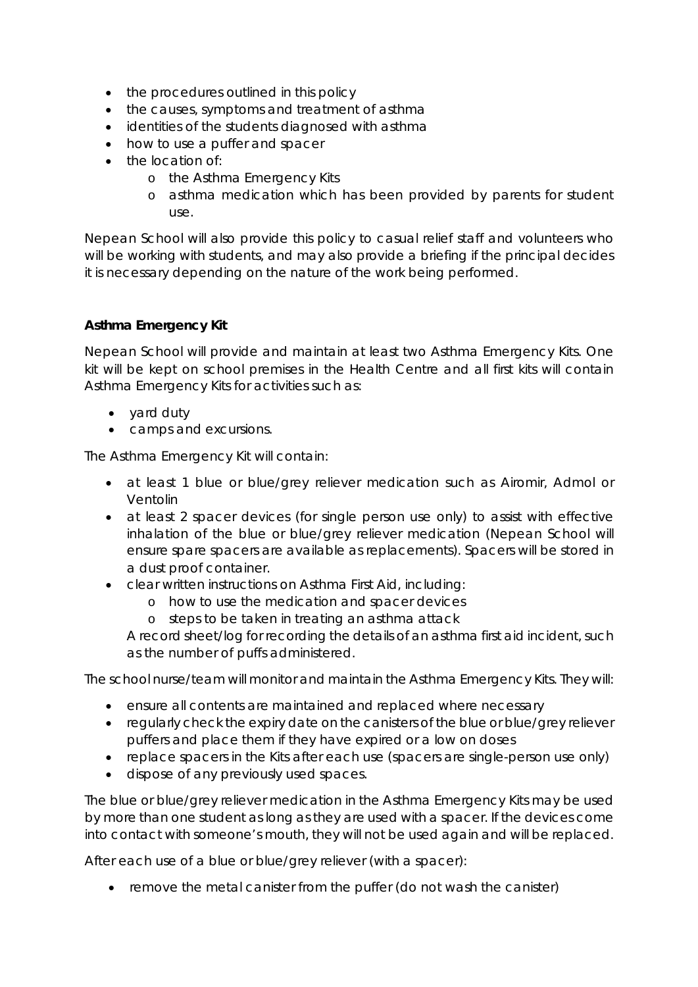- the procedures outlined in this policy
- the causes, symptoms and treatment of asthma
- identities of the students diagnosed with asthma
- how to use a puffer and spacer
- the location of:
	- o the Asthma Emergency Kits
	- o asthma medication which has been provided by parents for student use.

Nepean School will also provide this policy to casual relief staff and volunteers who will be working with students, and may also provide a briefing if the principal decides it is necessary depending on the nature of the work being performed.

# **Asthma Emergency Kit**

Nepean School will provide and maintain at least two Asthma Emergency Kits. One kit will be kept on school premises in the Health Centre and all first kits will contain Asthma Emergency Kits for activities such as:

- yard duty
- camps and excursions.

The Asthma Emergency Kit will contain:

- at least 1 blue or blue/grey reliever medication such as Airomir, Admol or Ventolin
- at least 2 spacer devices (for single person use only) to assist with effective inhalation of the blue or blue/grey reliever medication (Nepean School will ensure spare spacers are available as replacements). Spacers will be stored in a dust proof container.
- clear written instructions on Asthma First Aid, including:
	- o how to use the medication and spacer devices
	- o steps to be taken in treating an asthma attack

A record sheet/log for recording the details of an asthma first aid incident, such as the number of puffs administered.

The school nurse/team will monitor and maintain the Asthma Emergency Kits. They will:

- ensure all contents are maintained and replaced where necessary
- regularly check the expiry date on the canisters of the blue or blue/grey reliever puffers and place them if they have expired or a low on doses
- replace spacers in the Kits after each use (spacers are single-person use only)
- dispose of any previously used spaces.

The blue or blue/grey reliever medication in the Asthma Emergency Kits may be used by more than one student as long as they are used with a spacer. If the devices come into contact with someone's mouth, they will not be used again and will be replaced.

After each use of a blue or blue/grey reliever (with a spacer):

• remove the metal canister from the puffer (do not wash the canister)